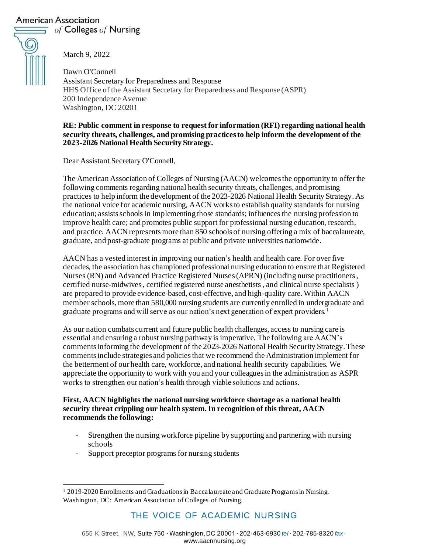# American Association

 $\equiv$  of Colleges of Nursing



March 9, 2022

Dawn O'Connell Assistant Secretary for Preparedness and Response HHS Office of the Assistant Secretary for Preparedness and Response (ASPR) 200 Independence Avenue Washington, DC 20201

#### **RE: Public comment in response to request for information (RFI) regarding national health security threats, challenges, and promising practices to help inform the development of the 2023-2026 National Health Security Strategy.**

Dear Assistant Secretary O'Connell,

The American Association of Colleges of Nursing (AACN) welcomes the opportunity to offer the following comments regarding national health security threats, challenges, and promising practices to help inform the development of the 2023-2026 National Health Security Strategy. As the national voice for academic nursing, AACN works to establish quality standards for nursing education; assists schools in implementing those standards; influences the nursing profession to improve health care; and promotes public support for professional nursing education, research, and practice. AACN represents more than 850 schools of nursing offering a mix of baccalaureate, graduate, and post-graduate programs at public and private universities nationwide.

AACN has a vested interest in improving our nation's health and health care. For over five decades, the association has championed professional nursing education to ensure that Registered Nurses (RN) and Advanced Practice Registered Nurses(APRN) (including nurse practitioners, certified nurse-midwives, certified registered nurse anesthetists, and clinical nurse specialists ) are prepared to provide evidence-based, cost-effective, and high-quality care.Within AACN member schools, more than 580,000 nursing students are currently enrolled in undergraduate and graduate programs and will serve as our nation's next generation of expert providers. <sup>1</sup>

As our nation combats current and future public health challenges, access to nursing care is essential and ensuring a robust nursing pathway is imperative. The following are AACN's comments informing the development of the 2023-2026 National Health Security Strategy. These comments include strategies and policiesthat we recommend the Administration implement for the betterment of our health care, workforce, and national health security capabilities. We appreciate the opportunity to work with you and your colleagues in the administration as ASPR works to strengthen our nation's health through viable solutions and actions.

### **First, AACN highlights the national nursing workforce shortage as a national health security threat crippling our health system. In recognition of this threat, AACN recommends the following:**

- Strengthen the nursing workforce pipeline by supporting and partnering with nursing schools
- Support preceptor programs for nursing students

# THE VOICE OF ACADEMIC NURSING

<sup>1</sup> 2019-2020 Enrollments and Graduations in Baccalaureate and Graduate Programs in Nursing. Washington, DC: American Association of Colleges of Nursing.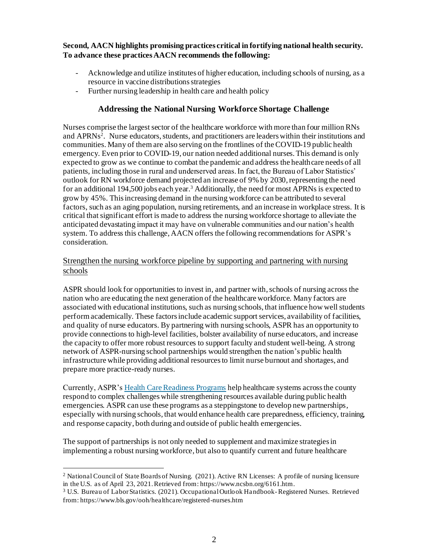**Second, AACN highlights promising practices critical in fortifying national health security. To advance these practices AACN recommends the following:** 

- Acknowledge and utilize institutes of higher education, including schools of nursing, as a resource in vaccine distributions strategies
- Further nursing leadership in health care and health policy

## **Addressing the National Nursing Workforce Shortage Challenge**

Nurses comprise the largest sector of the healthcare workforce with more than four million RNs and APRNs<sup>2</sup>. Nurse educators, students, and practitioners are leaders within their institutions and communities. Many of them are also serving on the frontlines of the COVID-19 public health emergency. Even prior to COVID-19, our nation needed additional nurses. This demand is only expected to grow as we continue to combat the pandemic and address the healthcare needs of all patients, including those in rural and underserved areas. In fact, the Bureau of Labor Statistics' outlook for RN workforce demand projected an increase of 9% by 2030, representing the need for an additional 194,500 jobs each year.<sup>3</sup> Additionally, the need for most APRNs is expected to grow by 45%. This increasing demand in the nursing workforce can be attributed to several factors, such as an aging population, nursing retirements, and an increase in workplace stress. It is critical that significant effort is made to address the nursing workforce shortage to alleviate the anticipated devastating impact it may have on vulnerable communities and our nation's health system. To address this challenge, AACN offers the following recommendations for ASPR's consideration.

## Strengthen the nursing workforce pipeline by supporting and partnering with nursing schools

ASPR should look for opportunities to invest in, and partner with, schools of nursing across the nation who are educating the next generation of the healthcare workforce. Many factors are associated with educational institutions, such as nursing schools, that influence how well students perform academically. These factors include academic support services, availability of facilities, and quality of nurse educators. By partnering with nursing schools, ASPR has an opportunity to provide connections to high-level facilities, bolster availability of nurse educators, and increase the capacity to offer more robust resources to support faculty and student well-being. A strong network of ASPR-nursing school partnerships would strengthen the nation's public health infrastructure while providing additional resources to limit nurse burnout and shortages, and prepare more practice-ready nurses.

Currently, ASPR'[s Health Care Readiness Programs](https://www.phe.gov/Preparedness/planning/healthcare-readiness/Documents/HCRP-Portfolio-Fact-Sheet-508.pdf) help healthcare systems across the county respond to complex challenges while strengthening resources available during public health emergencies. ASPR can use these programs as a steppingstone to develop new partnerships, especially with nursing schools, that would enhance health care preparedness, efficiency, training, and response capacity, both during and outside of public health emergencies.

The support of partnerships is not only needed to supplement and maximize strategies in implementing a robust nursing workforce, but also to quantify current and future healthcare

<sup>&</sup>lt;sup>2</sup> National Council of State Boards of Nursing. (2021). Active RN Licenses: A profile of nursing licensure in the U.S. as of April 23, 2021. Retrieved from: https://www.ncsbn.org/6161.htm.

<sup>&</sup>lt;sup>3</sup> U.S. Bureau of Labor Statistics. (2021). Occupational Outlook Handbook-Registered Nurses. Retrieved from: https://www.bls.gov/ooh/healthcare/registered-nurses.htm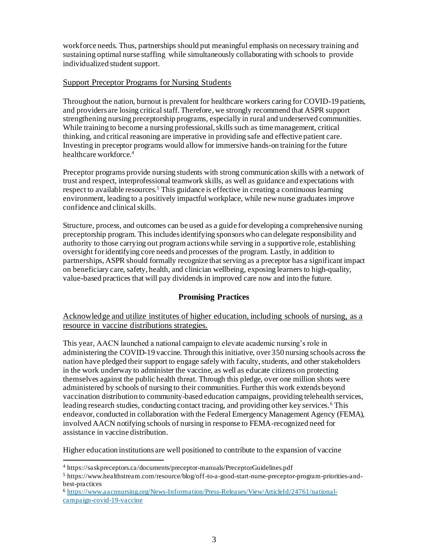workforce needs. Thus, partnerships should put meaningful emphasis on necessary training and sustaining optimal nurse staffing while simultaneously collaborating with schools to provide individualized student support.

## Support Preceptor Programs for Nursing Students

Throughout the nation, burnout is prevalent for healthcare workers caring for COVID-19 patients, and providers are losing critical staff. Therefore, we strongly recommend that ASPR support strengthening nursing preceptorship programs, especially in rural and underserved communities. While training to become a nursing professional, skills such as time management, critical thinking, and critical reasoning are imperative in providing safe and effective patient care. Investing in preceptor programs would allow for immersive hands-on training forthe future healthcare workforce.<sup>4</sup>

Preceptor programs provide nursing students with strong communication skills with a network of trust and respect, interprofessional teamwork skills, as well as guidance and expectations with respect to available resources.<sup>5</sup> This guidance is effective in creating a continuous learning environment, leading to a positively impactful workplace, while new nurse graduates improve confidence and clinical skills.

Structure, process, and outcomes can be used as a guide for developing a comprehensive nursing preceptorship program. This includes identifying sponsors who can delegate responsibility and authority to those carrying out program actions while serving in a supportive role, establishing oversight for identifying core needs and processes of the program. Lastly, in addition to partnerships, ASPR should formally recognize that serving as a preceptor has a significant impact on beneficiary care, safety, health, and clinician wellbeing, exposing learners to high-quality, value-based practices that will pay dividends in improved care now and into the future.

## **Promising Practices**

Acknowledge and utilize institutes of higher education, including schools of nursing, as a resource in vaccine distributions strategies.

This year, AACN launched a national campaign to elevate academic nursing's role in administering the COVID-19 vaccine. Through this initiative, over 350 nursing schools across the nation have pledged their support to engage safely with faculty, students, and other stakeholders in the work underway to administer the vaccine, as well as educate citizens on protecting themselves against the public health threat. Through this pledge, over one million shots were administered by schools of nursing to their communities. Further this work extends beyond vaccination distribution to community-based education campaigns, providing telehealth services, leading research studies, conducting contact tracing, and providing other key services.<sup>6</sup> This endeavor, conducted in collaboration with the Federal Emergency Management Agency (FEMA), involved AACN notifying schools of nursing in response to FEMA-recognized need for assistance in vaccine distribution.

Higher education institutions are well positioned to contribute to the expansion of vaccine

<sup>4</sup> https://saskpreceptors.ca/documents/preceptor-manuals/PreceptorGuidelines.pdf

<sup>5</sup> https://www.healthstream.com/resource/blog/off-to-a-good-start-nurse-preceptor-program-priorities-andbest-practices

<sup>6</sup> [https://www.aacnnursing.org/News-Information/Press-Releases/View/ArticleId/24761/national](https://www.aacnnursing.org/News-Information/Press-Releases/View/ArticleId/24761/national-campaign-covid-19-vaccine)[campaign-covid-19-vaccine](https://www.aacnnursing.org/News-Information/Press-Releases/View/ArticleId/24761/national-campaign-covid-19-vaccine)